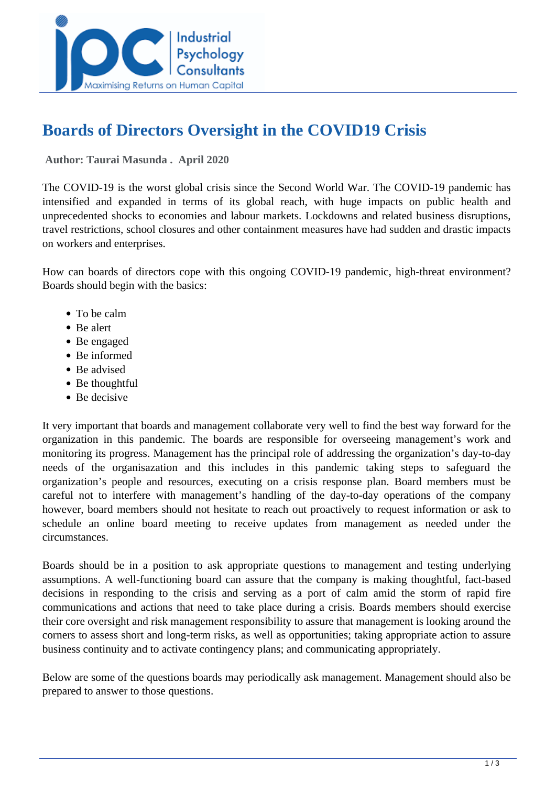

# **Boards of Directors Oversight in the COVID19 Crisis**

 **Author: Taurai Masunda . April 2020** 

The COVID-19 is the worst global crisis since the Second World War. The COVID-19 pandemic has intensified and expanded in terms of its global reach, with huge impacts on public health and unprecedented shocks to economies and labour markets. Lockdowns and related business disruptions, travel restrictions, school closures and other containment measures have had sudden and drastic impacts on workers and enterprises.

How can boards of directors cope with this ongoing COVID-19 pandemic, high-threat environment? Boards should begin with the basics:

- To be calm
- Be alert
- Be engaged
- Be informed
- Be advised
- Be thoughtful
- Be decisive

It very important that boards and management collaborate very well to find the best way forward for the organization in this pandemic. The boards are responsible for overseeing management's work and monitoring its progress. Management has the principal role of addressing the organization's day-to-day needs of the organisazation and this includes in this pandemic taking steps to safeguard the organization's people and resources, executing on a crisis response plan. Board members must be careful not to interfere with management's handling of the day-to-day operations of the company however, board members should not hesitate to reach out proactively to request information or ask to schedule an online board meeting to receive updates from management as needed under the circumstances.

Boards should be in a position to ask appropriate questions to management and testing underlying assumptions. A well-functioning board can assure that the company is making thoughtful, fact-based decisions in responding to the crisis and serving as a port of calm amid the storm of rapid fire communications and actions that need to take place during a crisis. Boards members should exercise their core oversight and risk management responsibility to assure that management is looking around the corners to assess short and long-term risks, as well as opportunities; taking appropriate action to assure business continuity and to activate contingency plans; and communicating appropriately.

Below are some of the questions boards may periodically ask management. Management should also be prepared to answer to those questions.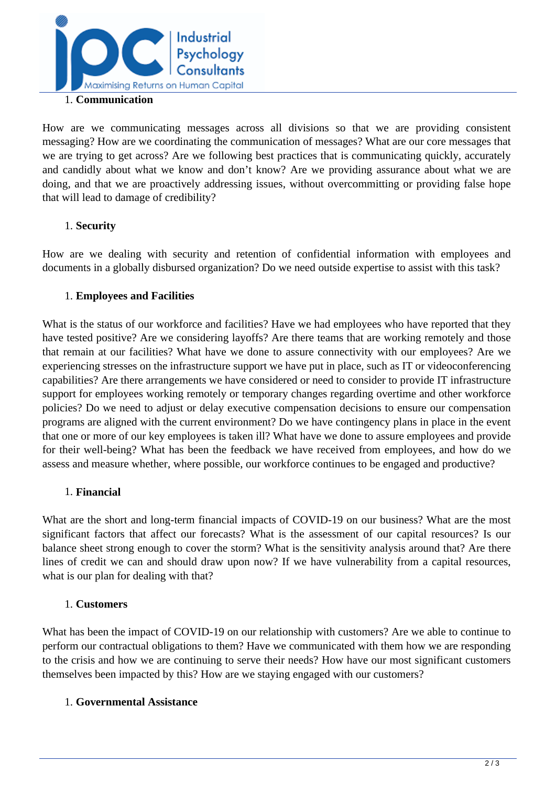

#### 1. **Communication**

How are we communicating messages across all divisions so that we are providing consistent messaging? How are we coordinating the communication of messages? What are our core messages that we are trying to get across? Are we following best practices that is communicating quickly, accurately and candidly about what we know and don't know? Are we providing assurance about what we are doing, and that we are proactively addressing issues, without overcommitting or providing false hope that will lead to damage of credibility?

### 1. **Security**

How are we dealing with security and retention of confidential information with employees and documents in a globally disbursed organization? Do we need outside expertise to assist with this task?

#### 1. **Employees and Facilities**

What is the status of our workforce and facilities? Have we had employees who have reported that they have tested positive? Are we considering layoffs? Are there teams that are working remotely and those that remain at our facilities? What have we done to assure connectivity with our employees? Are we experiencing stresses on the infrastructure support we have put in place, such as IT or videoconferencing capabilities? Are there arrangements we have considered or need to consider to provide IT infrastructure support for employees working remotely or temporary changes regarding overtime and other workforce policies? Do we need to adjust or delay executive compensation decisions to ensure our compensation programs are aligned with the current environment? Do we have contingency plans in place in the event that one or more of our key employees is taken ill? What have we done to assure employees and provide for their well-being? What has been the feedback we have received from employees, and how do we assess and measure whether, where possible, our workforce continues to be engaged and productive?

### 1. **Financial**

What are the short and long-term financial impacts of COVID-19 on our business? What are the most significant factors that affect our forecasts? What is the assessment of our capital resources? Is our balance sheet strong enough to cover the storm? What is the sensitivity analysis around that? Are there lines of credit we can and should draw upon now? If we have vulnerability from a capital resources, what is our plan for dealing with that?

#### 1. **Customers**

What has been the impact of COVID-19 on our relationship with customers? Are we able to continue to perform our contractual obligations to them? Have we communicated with them how we are responding to the crisis and how we are continuing to serve their needs? How have our most significant customers themselves been impacted by this? How are we staying engaged with our customers?

### 1. **Governmental Assistance**